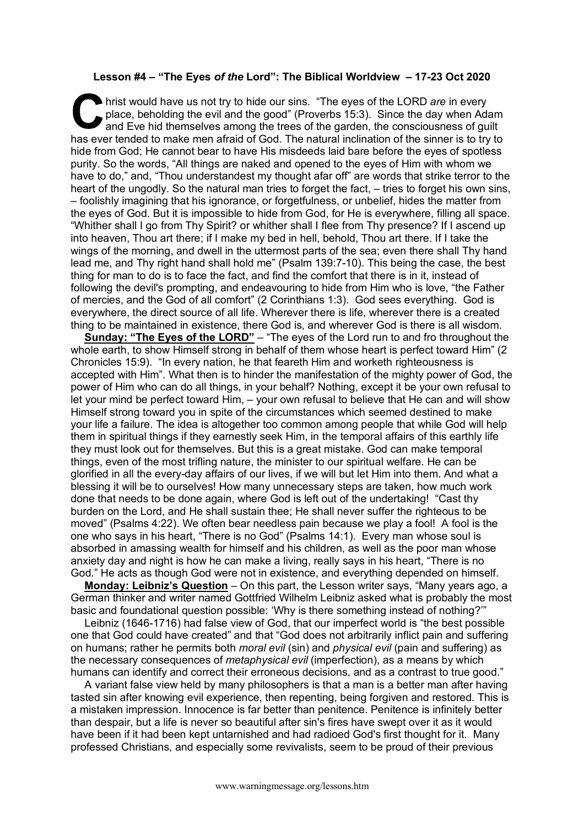## **Lesson #4 – "The Eyes** *of the* **Lord": The Biblical Worldview – 17-23 Oct 2020**

hrist would have us not try to hide our sins. "The eyes of the LORD *are* in every place, beholding the evil and the good" (Proverbs 15:3). Since the day when Adam and Eve hid themselves among the trees of the garden, the consciousness of guilt has ever tended to make men afraid of God. The natural inclination of the sinner is to try to hide from God; He cannot bear to have His misdeeds laid bare before the eyes of spotless purity. So the words, "All things are naked and opened to the eyes of Him with whom we have to do," and, "Thou understandest my thought afar off" are words that strike terror to the heart of the ungodly. So the natural man tries to forget the fact, – tries to forget his own sins, – foolishly imagining that his ignorance, or forgetfulness, or unbelief, hides the matter from the eyes of God. But it is impossible to hide from God, for He is everywhere, filling all space. "Whither shall I go from Thy Spirit? or whither shall I flee from Thy presence? If I ascend up into heaven, Thou art there; if I make my bed in hell, behold, Thou art there. If I take the wings of the morning, and dwell in the uttermost parts of the sea; even there shall Thy hand lead me, and Thy right hand shall hold me" (Psalm 139:7-10). This being the case, the best thing for man to do is to face the fact, and find the comfort that there is in it, instead of following the devil's prompting, and endeavouring to hide from Him who is love, "the Father of mercies, and the God of all comfort" (2 Corinthians 1:3). God sees everything. God is everywhere, the direct source of all life. Wherever there is life, wherever there is a created thing to be maintained in existence, there God is, and wherever God is there is all wisdom. C hris

**Sunday: "The Eyes of the LORD"** – "The eyes of the Lord run to and fro throughout the whole earth, to show Himself strong in behalf of them whose heart is perfect toward Him" (2 Chronicles 15:9). "In every nation, he that feareth Him and worketh righteousness is accepted with Him". What then is to hinder the manifestation of the mighty power of God, the power of Him who can do all things, in your behalf? Nothing, except it be your own refusal to let your mind be perfect toward Him, – your own refusal to believe that He can and will show Himself strong toward you in spite of the circumstances which seemed destined to make your life a failure. The idea is altogether too common among people that while God will help them in spiritual things if they earnestly seek Him, in the temporal affairs of this earthly life they must look out for themselves. But this is a great mistake. God can make temporal things, even of the most trifling nature, the minister to our spiritual welfare. He can be glorified in all the every-day affairs of our lives, if we will but let Him into them. And what a blessing it will be to ourselves! How many unnecessary steps are taken, how much work done that needs to be done again, where God is left out of the undertaking! "Cast thy burden on the Lord, and He shall sustain thee; He shall never suffer the righteous to be moved" (Psalms 4:22). We often bear needless pain because we play a fool! A fool is the one who says in his heart, "There is no God" (Psalms 14:1). Every man whose soul is absorbed in amassing wealth for himself and his children, as well as the poor man whose anxiety day and night is how he can make a living, really says in his heart, "There is no God." He acts as though God were not in existence, and everything depended on himself.

**Monday: Leibniz's Question** – On this part, the Lesson writer says, "Many years ago, a German thinker and writer named Gottfried Wilhelm Leibniz asked what is probably the most basic and foundational question possible: 'Why is there something instead of nothing?'"

Leibniz (1646-1716) had false view of God, that our imperfect world is "the best possible one that God could have created" and that "God does not arbitrarily inflict pain and suffering on humans; rather he permits both *moral evil* (sin) and *physical evil* (pain and suffering) as the necessary consequences of *metaphysical evil* (imperfection), as a means by which humans can identify and correct their erroneous decisions, and as a contrast to true good."

A variant false view held by many philosophers is that a man is a better man after having tasted sin after knowing evil experience, then repenting, being forgiven and restored. This is a mistaken impression. Innocence is far better than penitence. Penitence is infinitely better than despair, but a life is never so beautiful after sin's fires have swept over it as it would have been if it had been kept untarnished and had radioed God's first thought for it. Many professed Christians, and especially some revivalists, seem to be proud of their previous